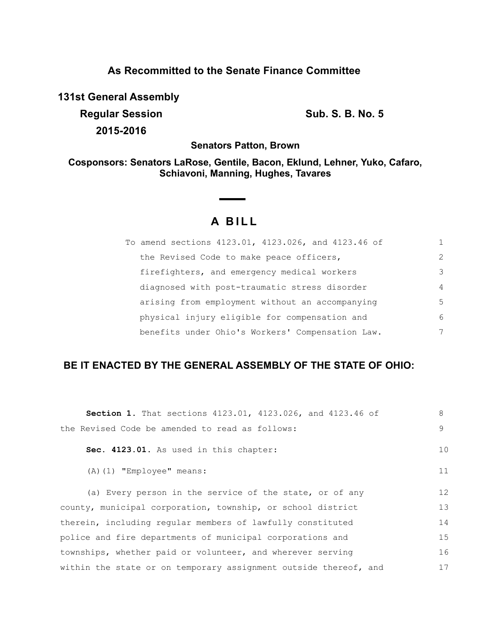# **As Recommitted to the Senate Finance Committee**

**131st General Assembly**

**Regular Session Sub. S. B. No. 5 2015-2016**

**Senators Patton, Brown**

**Cosponsors: Senators LaRose, Gentile, Bacon, Eklund, Lehner, Yuko, Cafaro, Schiavoni, Manning, Hughes, Tavares**

# **A BILL**

| To amend sections 4123.01, 4123.026, and 4123.46 of |                |
|-----------------------------------------------------|----------------|
| the Revised Code to make peace officers,            | $\mathcal{L}$  |
| firefighters, and emergency medical workers         | 3              |
| diagnosed with post-traumatic stress disorder       | $\overline{4}$ |
| arising from employment without an accompanying     | 5              |
| physical injury eligible for compensation and       | 6              |
| benefits under Ohio's Workers' Compensation Law.    | 7              |

## **BE IT ENACTED BY THE GENERAL ASSEMBLY OF THE STATE OF OHIO:**

| Section 1. That sections 4123.01, 4123.026, and 4123.46 of       | 8  |  |
|------------------------------------------------------------------|----|--|
| the Revised Code be amended to read as follows:                  | 9  |  |
| Sec. 4123.01. As used in this chapter:                           | 10 |  |
| $(A)$ $(1)$ "Employee" means:                                    | 11 |  |
| (a) Every person in the service of the state, or of any          | 12 |  |
| county, municipal corporation, township, or school district      |    |  |
| therein, including regular members of lawfully constituted       |    |  |
| police and fire departments of municipal corporations and        | 15 |  |
| townships, whether paid or volunteer, and wherever serving       | 16 |  |
| within the state or on temporary assignment outside thereof, and | 17 |  |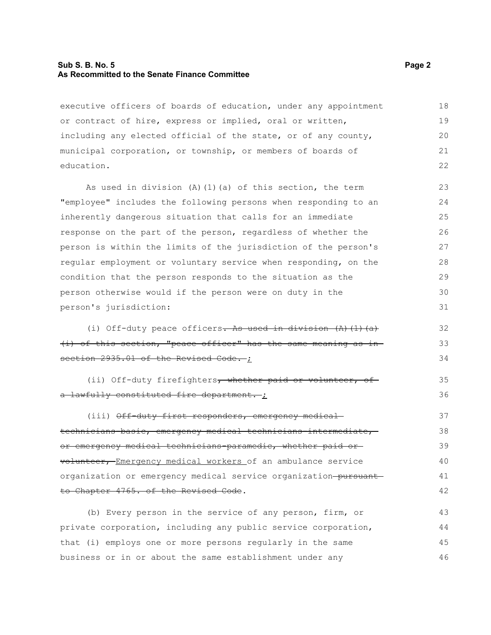#### **Sub S. B. No. 5 Page 2 As Recommitted to the Senate Finance Committee**

executive officers of boards of education, under any appointment or contract of hire, express or implied, oral or written, including any elected official of the state, or of any county, municipal corporation, or township, or members of boards of education. 18 19 20 21 22

As used in division (A)(1)(a) of this section, the term "employee" includes the following persons when responding to an inherently dangerous situation that calls for an immediate response on the part of the person, regardless of whether the person is within the limits of the jurisdiction of the person's regular employment or voluntary service when responding, on the condition that the person responds to the situation as the person otherwise would if the person were on duty in the person's jurisdiction:

(i) Off-duty peace officers. As used in division  $(A)$   $(1)$   $(a)$ (i) of this section, "peace officer" has the same meaning as in section 2935.01 of the Revised Code. ;

(ii) Off-duty firefighters, whether paid or volunteer, of a lawfully constituted fire department. ;

(iii) Off-duty first responders, emergency medicaltechnicians-basic, emergency medical technicians-intermediate, or emergency medical technicians-paramedic, whether paid or volunteer, Emergency medical workers of an ambulance service organization or emergency medical service organization-pursuantto Chapter 4765. of the Revised Code. 37 38 39 40 41 42

(b) Every person in the service of any person, firm, or private corporation, including any public service corporation, that (i) employs one or more persons regularly in the same business or in or about the same establishment under any 43 44 45 46

32 33 34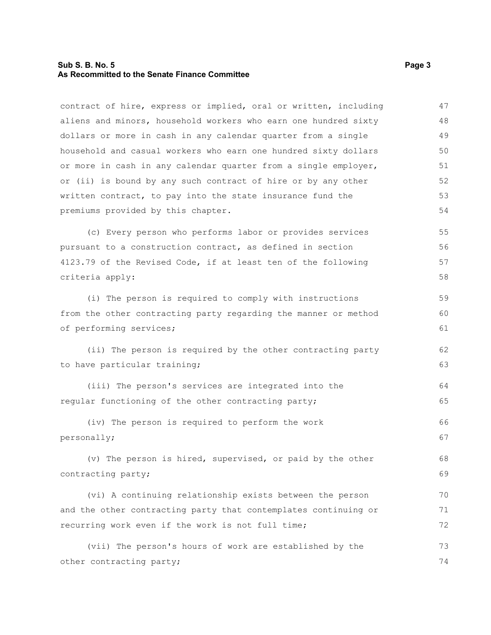#### **Sub S. B. No. 5 Page 3 As Recommitted to the Senate Finance Committee**

contract of hire, express or implied, oral or written, including aliens and minors, household workers who earn one hundred sixty dollars or more in cash in any calendar quarter from a single household and casual workers who earn one hundred sixty dollars or more in cash in any calendar quarter from a single employer, or (ii) is bound by any such contract of hire or by any other written contract, to pay into the state insurance fund the premiums provided by this chapter. 47 48 49 50 51 52 53 54

(c) Every person who performs labor or provides services pursuant to a construction contract, as defined in section 4123.79 of the Revised Code, if at least ten of the following criteria apply:

(i) The person is required to comply with instructions from the other contracting party regarding the manner or method of performing services;

(ii) The person is required by the other contracting party to have particular training;

(iii) The person's services are integrated into the regular functioning of the other contracting party; 64 65

(iv) The person is required to perform the work personally; 66 67

(v) The person is hired, supervised, or paid by the other contracting party;

(vi) A continuing relationship exists between the person and the other contracting party that contemplates continuing or recurring work even if the work is not full time; 70 71 72

(vii) The person's hours of work are established by the other contracting party; 73 74

59 60 61

62 63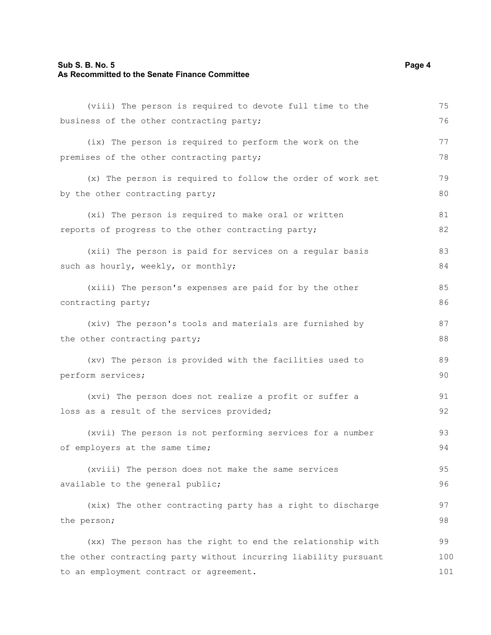### **Sub S. B. No. 5 Page 4 As Recommitted to the Senate Finance Committee**

| (viii) The person is required to devote full time to the         | 75  |  |
|------------------------------------------------------------------|-----|--|
| business of the other contracting party;                         | 76  |  |
| (ix) The person is required to perform the work on the           | 77  |  |
| premises of the other contracting party;                         | 78  |  |
| (x) The person is required to follow the order of work set       | 79  |  |
| by the other contracting party;                                  | 80  |  |
| (xi) The person is required to make oral or written              | 81  |  |
| reports of progress to the other contracting party;              | 82  |  |
| (xii) The person is paid for services on a regular basis         | 83  |  |
| such as hourly, weekly, or monthly;                              | 84  |  |
| (xiii) The person's expenses are paid for by the other           | 85  |  |
| contracting party;                                               | 86  |  |
| (xiv) The person's tools and materials are furnished by          | 87  |  |
| the other contracting party;                                     | 88  |  |
| (xv) The person is provided with the facilities used to          | 89  |  |
| perform services;                                                | 90  |  |
| (xvi) The person does not realize a profit or suffer a           | 91  |  |
| loss as a result of the services provided;                       | 92  |  |
| (xvii) The person is not performing services for a number        | 93  |  |
| of employers at the same time;                                   | 94  |  |
| (xviii) The person does not make the same services               | 95  |  |
| available to the general public;                                 | 96  |  |
| (xix) The other contracting party has a right to discharge       | 97  |  |
| the person;                                                      |     |  |
| (xx) The person has the right to end the relationship with       | 99  |  |
| the other contracting party without incurring liability pursuant | 100 |  |
| to an employment contract or agreement.                          |     |  |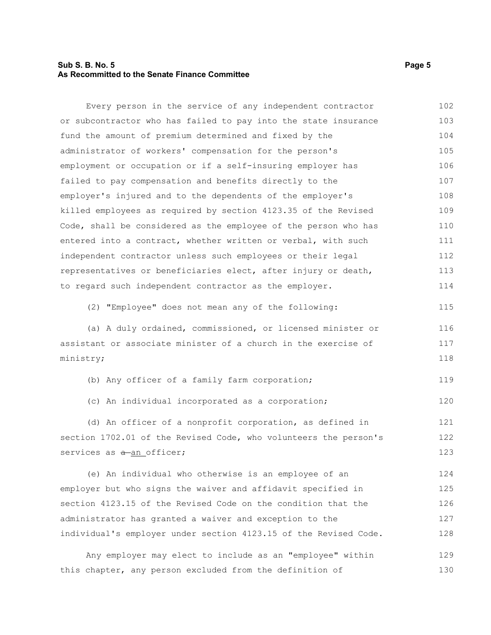#### **Sub S. B. No. 5 Page 5 As Recommitted to the Senate Finance Committee**

Every person in the service of any independent contractor or subcontractor who has failed to pay into the state insurance fund the amount of premium determined and fixed by the administrator of workers' compensation for the person's employment or occupation or if a self-insuring employer has failed to pay compensation and benefits directly to the employer's injured and to the dependents of the employer's killed employees as required by section 4123.35 of the Revised Code, shall be considered as the employee of the person who has entered into a contract, whether written or verbal, with such independent contractor unless such employees or their legal representatives or beneficiaries elect, after injury or death, to regard such independent contractor as the employer. (2) "Employee" does not mean any of the following: (a) A duly ordained, commissioned, or licensed minister or assistant or associate minister of a church in the exercise of ministry; (b) Any officer of a family farm corporation; (c) An individual incorporated as a corporation; (d) An officer of a nonprofit corporation, as defined in section 1702.01 of the Revised Code, who volunteers the person's services as  $a$ -an officer; (e) An individual who otherwise is an employee of an employer but who signs the waiver and affidavit specified in section 4123.15 of the Revised Code on the condition that the administrator has granted a waiver and exception to the individual's employer under section 4123.15 of the Revised Code. 102 103 104 105 106 107 108 109 110 111 112 113 114 115 116 117 118 119 120 121 122 123 124 125 126 127 128

Any employer may elect to include as an "employee" within this chapter, any person excluded from the definition of 129 130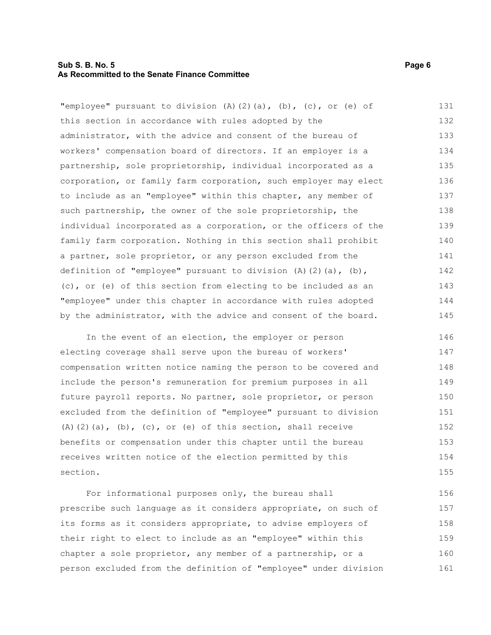#### **Sub S. B. No. 5 Page 6 As Recommitted to the Senate Finance Committee**

"employee" pursuant to division (A)(2)(a), (b), (c), or (e) of this section in accordance with rules adopted by the administrator, with the advice and consent of the bureau of workers' compensation board of directors. If an employer is a partnership, sole proprietorship, individual incorporated as a corporation, or family farm corporation, such employer may elect to include as an "employee" within this chapter, any member of such partnership, the owner of the sole proprietorship, the individual incorporated as a corporation, or the officers of the family farm corporation. Nothing in this section shall prohibit a partner, sole proprietor, or any person excluded from the definition of "employee" pursuant to division (A)(2)(a), (b), (c), or (e) of this section from electing to be included as an "employee" under this chapter in accordance with rules adopted by the administrator, with the advice and consent of the board. 131 132 133 134 135 136 137 138 139 140 141 142 143 144 145

In the event of an election, the employer or person electing coverage shall serve upon the bureau of workers' compensation written notice naming the person to be covered and include the person's remuneration for premium purposes in all future payroll reports. No partner, sole proprietor, or person excluded from the definition of "employee" pursuant to division (A)(2)(a), (b), (c), or (e) of this section, shall receive benefits or compensation under this chapter until the bureau receives written notice of the election permitted by this section. 146 147 148 149 150 151 152 153 154 155

For informational purposes only, the bureau shall prescribe such language as it considers appropriate, on such of its forms as it considers appropriate, to advise employers of their right to elect to include as an "employee" within this chapter a sole proprietor, any member of a partnership, or a person excluded from the definition of "employee" under division 156 157 158 159 160 161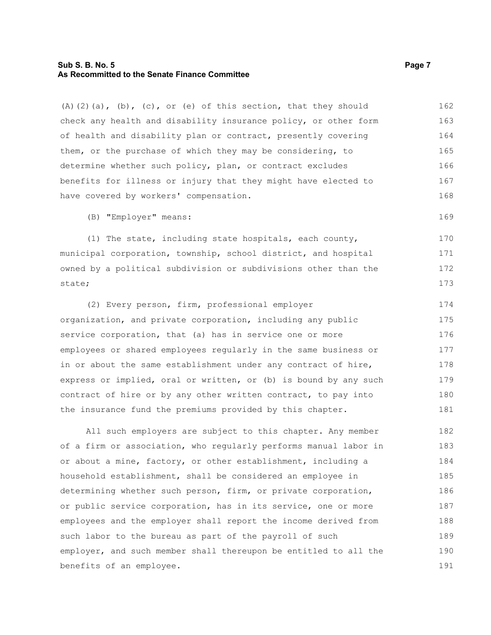#### **Sub S. B. No. 5 Page 7 As Recommitted to the Senate Finance Committee**

(A)(2)(a), (b), (c), or (e) of this section, that they should check any health and disability insurance policy, or other form of health and disability plan or contract, presently covering them, or the purchase of which they may be considering, to determine whether such policy, plan, or contract excludes benefits for illness or injury that they might have elected to have covered by workers' compensation. 162 163 164 165 166 167 168

(B) "Employer" means:

(1) The state, including state hospitals, each county, municipal corporation, township, school district, and hospital owned by a political subdivision or subdivisions other than the state;

(2) Every person, firm, professional employer organization, and private corporation, including any public service corporation, that (a) has in service one or more employees or shared employees regularly in the same business or in or about the same establishment under any contract of hire, express or implied, oral or written, or (b) is bound by any such contract of hire or by any other written contract, to pay into the insurance fund the premiums provided by this chapter. 174 175 176 177 178 179 180 181

All such employers are subject to this chapter. Any member of a firm or association, who regularly performs manual labor in or about a mine, factory, or other establishment, including a household establishment, shall be considered an employee in determining whether such person, firm, or private corporation, or public service corporation, has in its service, one or more employees and the employer shall report the income derived from such labor to the bureau as part of the payroll of such employer, and such member shall thereupon be entitled to all the benefits of an employee. 182 183 184 185 186 187 188 189 190 191

169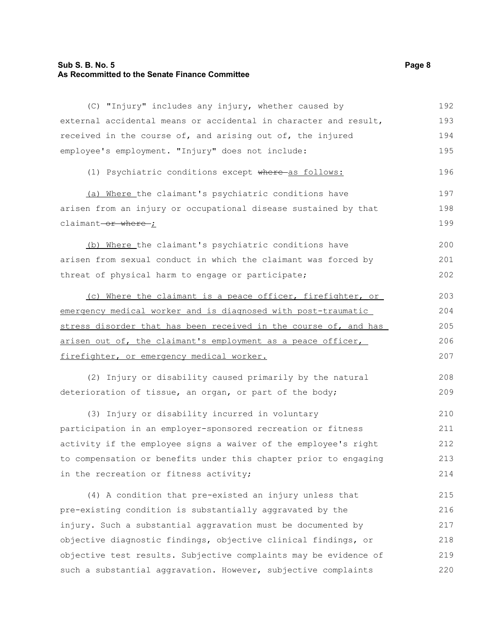#### **Sub S. B. No. 5 Page 8 As Recommitted to the Senate Finance Committee**

(C) "Injury" includes any injury, whether caused by external accidental means or accidental in character and result, received in the course of, and arising out of, the injured employee's employment. "Injury" does not include: (1) Psychiatric conditions except where as follows: (a) Where the claimant's psychiatric conditions have arisen from an injury or occupational disease sustained by that claimant-or where ; (b) Where the claimant's psychiatric conditions have arisen from sexual conduct in which the claimant was forced by threat of physical harm to engage or participate; (c) Where the claimant is a peace officer, firefighter, or emergency medical worker and is diagnosed with post-traumatic stress disorder that has been received in the course of, and has arisen out of, the claimant's employment as a peace officer, firefighter, or emergency medical worker. (2) Injury or disability caused primarily by the natural deterioration of tissue, an organ, or part of the body; (3) Injury or disability incurred in voluntary participation in an employer-sponsored recreation or fitness activity if the employee signs a waiver of the employee's right 192 193 194 195 196 197 198 199 200 201 202 203 204 205 206 207 208 209 210 211 212

to compensation or benefits under this chapter prior to engaging in the recreation or fitness activity; 213 214

(4) A condition that pre-existed an injury unless that pre-existing condition is substantially aggravated by the injury. Such a substantial aggravation must be documented by objective diagnostic findings, objective clinical findings, or objective test results. Subjective complaints may be evidence of such a substantial aggravation. However, subjective complaints 215 216 217 218 219 220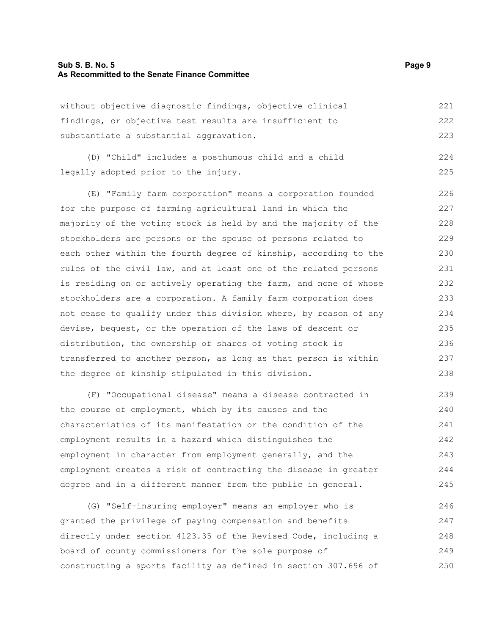#### **Sub S. B. No. 5 Page 9 As Recommitted to the Senate Finance Committee**

without objective diagnostic findings, objective clinical findings, or objective test results are insufficient to substantiate a substantial aggravation. 221 222 223

(D) "Child" includes a posthumous child and a child legally adopted prior to the injury. 224 225

(E) "Family farm corporation" means a corporation founded for the purpose of farming agricultural land in which the majority of the voting stock is held by and the majority of the stockholders are persons or the spouse of persons related to each other within the fourth degree of kinship, according to the rules of the civil law, and at least one of the related persons is residing on or actively operating the farm, and none of whose stockholders are a corporation. A family farm corporation does not cease to qualify under this division where, by reason of any devise, bequest, or the operation of the laws of descent or distribution, the ownership of shares of voting stock is transferred to another person, as long as that person is within the degree of kinship stipulated in this division. 226 227 228 229 230 231 232 233 234 235 236 237 238

(F) "Occupational disease" means a disease contracted in the course of employment, which by its causes and the characteristics of its manifestation or the condition of the employment results in a hazard which distinguishes the employment in character from employment generally, and the employment creates a risk of contracting the disease in greater degree and in a different manner from the public in general. 239 240 241 242 243 244 245

(G) "Self-insuring employer" means an employer who is granted the privilege of paying compensation and benefits directly under section 4123.35 of the Revised Code, including a board of county commissioners for the sole purpose of constructing a sports facility as defined in section 307.696 of 246 247 248 249 250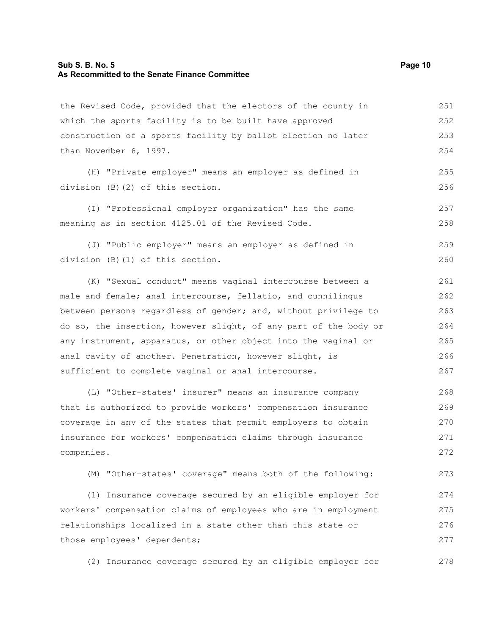#### **Sub S. B. No. 5 Page 10 As Recommitted to the Senate Finance Committee**

the Revised Code, provided that the electors of the county in which the sports facility is to be built have approved construction of a sports facility by ballot election no later than November 6, 1997. (H) "Private employer" means an employer as defined in division (B)(2) of this section. (I) "Professional employer organization" has the same meaning as in section 4125.01 of the Revised Code. (J) "Public employer" means an employer as defined in division (B)(1) of this section. (K) "Sexual conduct" means vaginal intercourse between a male and female; anal intercourse, fellatio, and cunnilingus between persons regardless of gender; and, without privilege to do so, the insertion, however slight, of any part of the body or any instrument, apparatus, or other object into the vaginal or anal cavity of another. Penetration, however slight, is sufficient to complete vaginal or anal intercourse. (L) "Other-states' insurer" means an insurance company 251 252 253 254 255 256 257 258 259 260 261 262 263 264 265 266 267 268

that is authorized to provide workers' compensation insurance coverage in any of the states that permit employers to obtain insurance for workers' compensation claims through insurance companies. 269 270 271 272

(M) "Other-states' coverage" means both of the following: 273

(1) Insurance coverage secured by an eligible employer for workers' compensation claims of employees who are in employment relationships localized in a state other than this state or those employees' dependents; 274 275 276 277

(2) Insurance coverage secured by an eligible employer for 278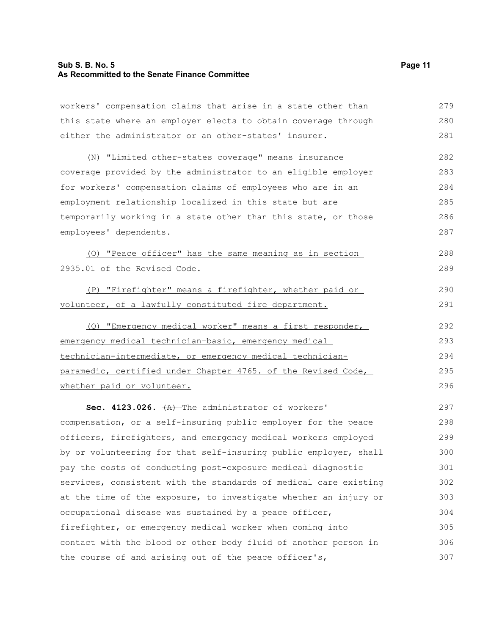#### **Sub S. B. No. 5 Page 11 As Recommitted to the Senate Finance Committee**

workers' compensation claims that arise in a state other than this state where an employer elects to obtain coverage through either the administrator or an other-states' insurer. 279 280 281

(N) "Limited other-states coverage" means insurance coverage provided by the administrator to an eligible employer for workers' compensation claims of employees who are in an employment relationship localized in this state but are temporarily working in a state other than this state, or those employees' dependents. 282 283 284 285 286 287

(O) "Peace officer" has the same meaning as in section 2935.01 of the Revised Code. 288 289

(P) "Firefighter" means a firefighter, whether paid or volunteer, of a lawfully constituted fire department.

(Q) "Emergency medical worker" means a first responder, emergency medical technician-basic, emergency medical technician-intermediate, or emergency medical technicianparamedic, certified under Chapter 4765. of the Revised Code, whether paid or volunteer. 292 293 294 295 296

Sec. 4123.026.  $+A$ ) The administrator of workers' compensation, or a self-insuring public employer for the peace officers, firefighters, and emergency medical workers employed by or volunteering for that self-insuring public employer, shall pay the costs of conducting post-exposure medical diagnostic services, consistent with the standards of medical care existing at the time of the exposure, to investigate whether an injury or occupational disease was sustained by a peace officer, firefighter, or emergency medical worker when coming into contact with the blood or other body fluid of another person in the course of and arising out of the peace officer's, 297 298 299 300 301 302 303 304 305 306 307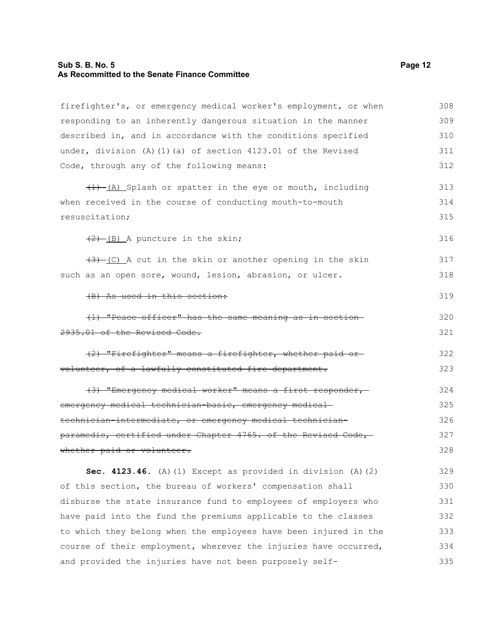#### **Sub S. B. No. 5 Page 12 As Recommitted to the Senate Finance Committee**

firefighter's, or emergency medical worker's employment, or when responding to an inherently dangerous situation in the manner described in, and in accordance with the conditions specified under, division (A)(1)(a) of section 4123.01 of the Revised Code, through any of the following means:  $(1)$  (A) Splash or spatter in the eye or mouth, including when received in the course of conducting mouth-to-mouth resuscitation;  $(2)$  (B) A puncture in the skin;  $(3)$  (C) A cut in the skin or another opening in the skin such as an open sore, wound, lesion, abrasion, or ulcer. (B) As used in this section: (1) "Peace officer" has the same meaning as in section 2935.01 of the Revised Code. (2) "Firefighter" means a firefighter, whether paid or volunteer, of a lawfully constituted fire department. (3) "Emergency medical worker" means a first responder, emergency medical technician-basic, emergency medicaltechnician-intermediate, or emergency medical technicianparamedic, certified under Chapter 4765. of the Revised Code, whether paid or volunteer. **Sec. 4123.46.** (A)(1) Except as provided in division (A)(2) of this section, the bureau of workers' compensation shall disburse the state insurance fund to employees of employers who have paid into the fund the premiums applicable to the classes to which they belong when the employees have been injured in the course of their employment, wherever the injuries have occurred, 308 309 310 311 312 313 314 315 316 317 318 319 320 321 322 323 324 325 326 327 328 329 330 331 332 333 334

and provided the injuries have not been purposely self-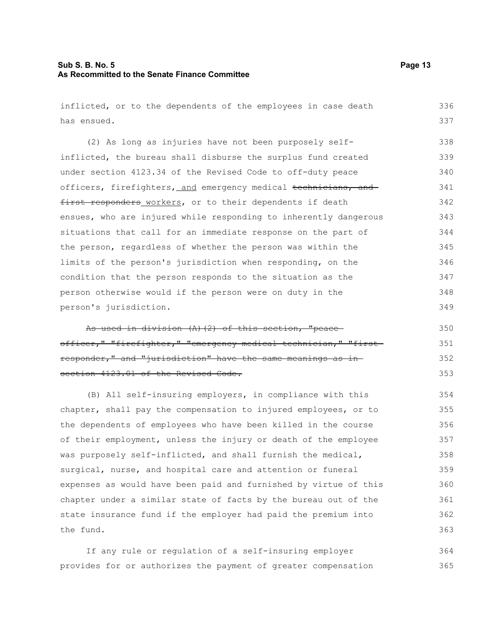#### **Sub S. B. No. 5 Page 13 As Recommitted to the Senate Finance Committee**

inflicted, or to the dependents of the employees in case death has ensued.

(2) As long as injuries have not been purposely selfinflicted, the bureau shall disburse the surplus fund created under section 4123.34 of the Revised Code to off-duty peace officers, firefighters, and emergency medical technicians, and first responders workers, or to their dependents if death ensues, who are injured while responding to inherently dangerous situations that call for an immediate response on the part of the person, regardless of whether the person was within the limits of the person's jurisdiction when responding, on the condition that the person responds to the situation as the person otherwise would if the person were on duty in the person's jurisdiction. 338 339 340 341 342 343 344 345 346 347 348 349

As used in division (A)(2) of this section, "peace officer," "firefighter," "emergency medical technician," "first responder," and "jurisdiction" have the same meanings as in section 4123.01 of the Revised Code.

(B) All self-insuring employers, in compliance with this chapter, shall pay the compensation to injured employees, or to the dependents of employees who have been killed in the course of their employment, unless the injury or death of the employee was purposely self-inflicted, and shall furnish the medical, surgical, nurse, and hospital care and attention or funeral expenses as would have been paid and furnished by virtue of this chapter under a similar state of facts by the bureau out of the state insurance fund if the employer had paid the premium into the fund.

If any rule or regulation of a self-insuring employer provides for or authorizes the payment of greater compensation 364 365

336 337